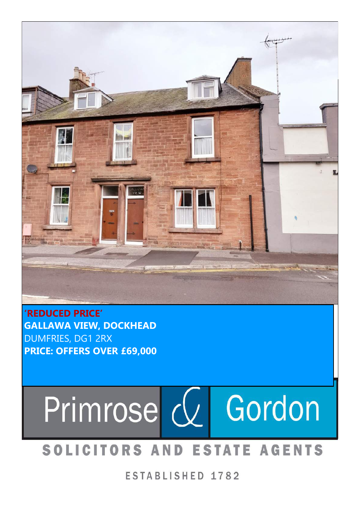

**'REDUCED PRICE' GALLAWA VIEW, DOCKHEAD** DUMFRIES, DG1 2RX **PRICE: OFFERS OVER £69,000**

# Primrose  $Q$ Gordon

## SOLICITORS AND ESTATE AGENTS

ESTABLISHED 1782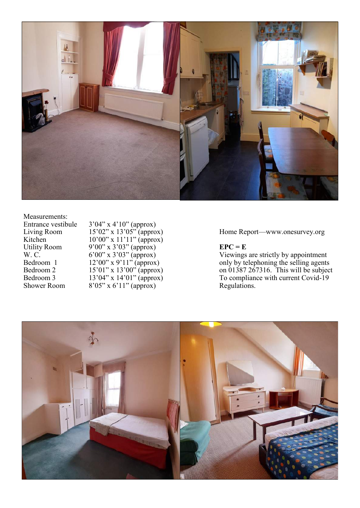

Measurements:<br>Entrance vestibule

Entrance vestibule 3'04" x 4'10" (approx) Living Room 15'02" x 13'05" (approx) Home Report Kitchen 10'00" x 11'11" (approx) Utility Room 9'00" x 3'03" (approx) **EPC** = **E** Shower Room  $8'05''$  x 6'11" (approx) Regulations.

Home Report--- www.onesurvey.org

W. C. 6'00" x 3'03" (approx) Viewings are strictly by appointment Bedroom 1  $12'00''$  x 9'11" (approx) only by telephoning the selling agents Bedroom 2 15'01" x 13'00" (approx) on 01387 267316. This will be subject Bedroom 3 13'04" x 14'01" (approx) To compliance with current Covid-19

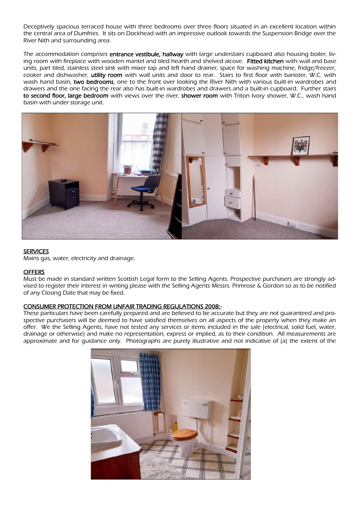Deceptively spacious terraced house with three bedrooms over three floors situated in an excellent location within the central area of Dumfries. It sits on Dockhead with an impressive outlook towards the Suspension Bridge over the River Nith and surrounding area.

The accommodation comprises entrance vestibule, hallway with large understairs cupboard also housing boiler, living room with fireplace with wooden mantel and tiled hearth and shelved alcove. Fitted kitchen with wall and base units, part tiled, stainless steel sink with mixer tap and left hand drainer, space for washing machine, fridge/freezer, cooker and dishwasher, utility room with wall units and door to rear. Stairs to first floor with banister, W.C. with wash hand basin, two bedrooms, one to the front over looking the River Nith with various built-in wardrobes and drawers and the one facing the rear also has built-in wardrobes and drawers and a built-in cupboard. Further stairs to second floor, large bedroom with views over the river, shower room with Triton Ivory shower, W.C., wash hand basin with under storage unit.



#### **SERVICES**

Mains gas, water, electricity and drainage.

#### **OFFERS**

Must be made in standard written Scottish Legal form to the Selling Agents. Prospective purchasers are strongly advised to register their interest in writing please with the Selling Agents Messrs. Primrose & Gordon so as to be notified of any Closing Date that may be fixed.

#### CONSUMER PROTECTION FROM UNFAIR TRADING REGULATIONS 2008:-

These particulars have been carefully prepared and are believed to be accurate but they are not guaranteed and prospective purchasers will be deemed to have satisfied themselves on all aspects of the property when they make an offer. We the Selling Agents, have not tested any services or items included in the sale (electrical, solid fuel, water, drainage or otherwise) and make no representation, express or implied, as to their condition. All measurements are approximate and for guidance only. Photographs are purely illustrative and not indicative of (a) the extent of the

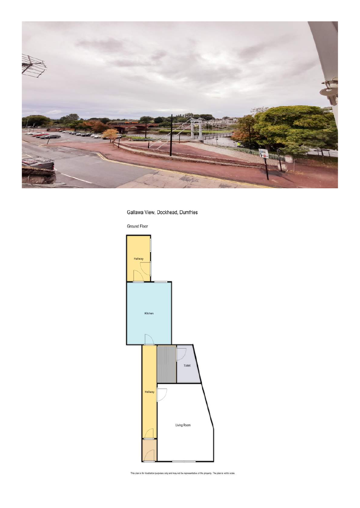

#### Gallawa View, Dockhead, Dumfries

Ground Floor